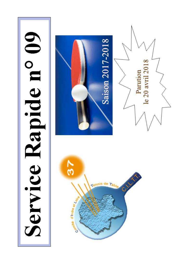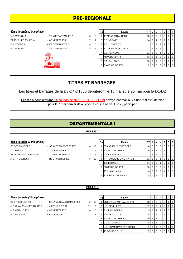# **PRE-REGIONALE**

#### **6ème** journée (2ème phase)

- U.S. VERNOU 1 <sup>-</sup> TT MONT ARTANNES 2 5 C.P. VEIGNE 1 - ES OESIENNE TT 2 8 R.C. BALLAN 2 **8** - A.S. LUYNES T.T 2 6 8
- TT JOUE LES TOURS 6 AS VERETZ TT 2 7
	- -



|   | Rg | Equipe              | PТ | J | ٧              | N              | D        | Р        | F        |
|---|----|---------------------|----|---|----------------|----------------|----------|----------|----------|
| 9 |    | TT MONT ARTANNES 2  | 18 | 6 | 6              | 0              | $\Omega$ | $\Omega$ | $\Omega$ |
| 7 | 2  | C.P. VEIGNE 1       | 14 | 6 | 4              | 0              | 2        | 0        | $\Omega$ |
| 6 | 3  | A.S. LUYNES T.T 2   | 12 | 6 | $\overline{2}$ | $\overline{2}$ | 2        | $\Omega$ | $\Omega$ |
| 6 | 4  | TT JOUE LES TOURS 6 | 11 | 6 | 1              | 3              | 2        | 0        | $\Omega$ |
|   | -  | U.S. VERNOU 1       | 11 | 6 | $\overline{2}$ | 1              | 3        | 0        | $\Omega$ |
|   |    | AS VERETZ TT 2      | 11 | 6 | 1              | 3              | 2        | $\Omega$ | $\Omega$ |
|   | 7  | R.C. BALLAN 2       | 10 | 6 | 1              | 2              | 3        | $\Omega$ | $\Omega$ |
|   | 8  | ES OESIENNE TT 2    | 9  | 6 | $\Omega$       | 3              | 3        | $\Omega$ | $\Omega$ |

# **TITRES ET BARRAGES**

Les titres et barrages de la D3-D4-D1600 débuteront le 18 mai et le 25 mai pour la D1-D2

Pensez à nous retourner le coupon de NON PARTICIPATION envoyé par mail aux clubs le 9 avril dernier pour le 7 mai dernier délai si votre équipe ne veut pas y participer

# **DEPARTEMENTALE 1**

#### **POULE A**

## **6ème** journée (2ème phase)

T.T. BENAIS 1 - TT CHINONAIS 3 12 ATT LANGEAIS-CINQ MARS 2 - TT PARCAY MESLAY 2 13 A.S.T.T. ESVRES 1 - RS ST CYR/LOIRE 2 8 1

- ES OESIENNE TT 3 ST AVERTIN SPORTS TT 3 8 1
	-
	-

|    | Rg | Equipe                   | PТ | J | ν              | N | D | Р        | F        |  |
|----|----|--------------------------|----|---|----------------|---|---|----------|----------|--|
| 0١ |    | ST AVERTIN SPORTS TT 3   | 18 | 6 | 6              | 0 | 0 | 0        | $\Omega$ |  |
| 6  | 2  | <b>RS ST CYR/LOIRE 2</b> | 16 | 6 | 5              | 0 | 1 | $\Omega$ | 0        |  |
| 5  | 3  | A.S.T.T. ESVRES 1        | 12 | 6 | 3              | 0 | 3 | $\Omega$ | $\Omega$ |  |
| 0١ | 4  | ATT LANGEAIS-CINQ MARS 2 | 11 | 6 | 2              |   | 3 | $\Omega$ | $\Omega$ |  |
|    |    | T.T. BENAIS 1            | 11 | 6 | 2              |   | 3 | $\Omega$ | $\Omega$ |  |
|    | 6  | ES OESIENNE TT 3         | 10 | 6 | $\overline{2}$ | 0 | 4 | $\Omega$ | $\Omega$ |  |
|    |    | TT CHINONAIS 3           | 10 | 6 | $\overline{2}$ | 0 | 4 | $\Omega$ | 0        |  |
|    | 8  | TT PARCAY MESLAY 2       | 8  | 6 |                |   | 5 |          | $\Omega$ |  |

## **POULE B**

| 6ème journée (2ème phase) |  |  |
|---------------------------|--|--|

- -

| 6ème_journée (2ème phase) |                              |                   | Rg | Equipe | <b>PT</b>                         |                    |        | JVN            | D I            | PF             |         |         |
|---------------------------|------------------------------|-------------------|----|--------|-----------------------------------|--------------------|--------|----------------|----------------|----------------|---------|---------|
| RS ST CYR/LOIRE 3         | - ES LA VILLE AUX DAMES TT 3 | 5                 | 13 |        | <b>ES LA VILLE AUX DAMES TT 3</b> | $18 \mid 6 \mid 6$ |        |                | 0              | $\mathbf{0}$   | $01$ 0  |         |
| U.S. CHAMBRAY-LES-TOURS 2 | - 4S TOURS T.T. 12           | $12 \overline{ }$ | 6  |        | U.S. GENILLE TT 1                 | 17 <sup>1</sup>    | 6 I    | 5              |                | 0              |         | $0$   0 |
| U.S. GENILLE TT 1         | - AS VERETZ TT 3             | 10                | 6  | 3      | P.L. PAUL BERT 1                  | $15 \mid 6 \mid$   |        | 4              |                |                |         | $0$   0 |
| P.L. PAUL BERT 1          | $-$ C.E.S. TOURS 1           | 11                |    |        | 4 AS VERETZ TT 3                  |                    | $14$ 6 | $\overline{4}$ | $\mathbf 0$    | $\overline{2}$ | $01$ 0  |         |
|                           |                              |                   |    |        | 5 RS ST CYR/LOIRE 3               | $10 \mid 6 \mid 2$ |        |                | $\mathbf 0$    | $\overline{4}$ | $01$ 0  |         |
|                           |                              |                   |    |        | 6 C.E.S. TOURS 1                  | 8 I                | -6     |                | 0              | 5 <sup>1</sup> | $01$ 0  |         |
|                           |                              |                   |    |        | U.S. CHAMBRAY-LES-TOURS 2         | 8                  | 6      |                | $\overline{0}$ | 5 <sup>1</sup> | $0$   0 |         |
|                           |                              |                   |    |        | 8 4S TOURS T.T. 12                | 6 I                | 60     |                |                | 6              | $01$ 0  |         |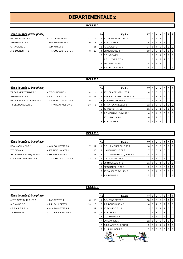# **POULE A**

#### $6$ ème journée (2ème phase)

- ES OESIENNE TT 4 TTC du LOCHOIS 2 12 A.S. LUYNES T.T 3 - TT JOUE LES TOURS 7 8 1
- STE MAURE TT 2 PPC MARTINOIS 1 10 8 2 STE MAURE TT 2 15 6 4 1 1 0 0
	-
- 

| 6ème journée (2ème phase) |                       |                 | Rg | Equipe | PT I                       |                 | JIV   | N              | D        | PIF            |  |                |
|---------------------------|-----------------------|-----------------|----|--------|----------------------------|-----------------|-------|----------------|----------|----------------|--|----------------|
| ES OESIENNE TT 4          | - TTC du LOCHOIS 2    | 12 <sup>2</sup> | -6 |        | <b>TT JOUE LES TOURS 7</b> | 17              | 6   5 |                |          |                |  | $\overline{0}$ |
| STE MAURE TT 2            | - PPC MARTINOIS 1     | 10              | 8  | 2      | <b>STE MAURE TT 2</b>      | 15 <sup>1</sup> | 6 I   | $\overline{4}$ |          |                |  | l 0            |
| C.P. VEIGNE 2             | $-$ A.P. ABILLY 1     |                 | 11 | 3      | A.P. ABILLY 1              | 14              | 6   4 |                | 0        | 2              |  | <b>10</b>      |
| A.S. LUYNES T.T 3         | - TT JOUE LES TOURS 7 | 8               | 10 | 4      | <b>IES OESIENNE TT 4</b>   | 13 <sup>1</sup> |       | 6 3            |          | 2              |  | I 0            |
|                           |                       |                 |    |        | 5 C.P. VEIGNE 2            | 11 <sup>1</sup> |       | 6 2            |          | 3              |  | I 0            |
|                           |                       |                 |    |        | A.S. LUYNES T.T 3          | 11 <sub>1</sub> | 6     |                | 3        |                |  | l 0            |
|                           |                       |                 |    |        | <b>PPC MARTINOIS 1</b>     | 9               | 6     |                |          | 4              |  | $\overline{0}$ |
|                           |                       |                 |    | 8      | <b>TTC du LOCHOIS 2</b>    | 5 <sub>1</sub>  |       | 60             | $\Omega$ | . <sub>5</sub> |  |                |

#### **POULE B**

#### **6ème** journée (2ème phase)

STE MAURE TT 1 - 4S TOURS T.T. 13 5 13 ES LA VILLE AUX DAMES TT 4 - A.S MONTLOUIS/LOIRE 1 9 TT SEMBLANCEEN 1 - TT PARCAY MESLAY 3 13

TT CORMERY-TRUYES 2 - TT CHINONAIS 4 14

|   | Rg | Equipe                     | PT | J | v              | N              | D | Р | F        |
|---|----|----------------------------|----|---|----------------|----------------|---|---|----------|
| 4 |    | TT CORMERY-TRUYES 2        | 18 | 6 | 6              | 0              | 0 | O | 0        |
| 3 | 2  | ES LA VILLE AUX DAMES TT 4 | 13 | 6 | 3              |                | 2 | O | $\Omega$ |
| 9 |    | <b>TT SEMBLANCEEN 1</b>    | 13 | 6 | 3              |                | 2 | 0 | 0        |
| 5 | 4  | TT PARCAY MESLAY 3         | 12 | 6 | 3              | $\Omega$       | 3 | 0 | 0        |
|   | 5  | 4S TOURS T.T. 13           | 11 | 6 | $\overline{2}$ |                | 3 | 0 | 0        |
|   | 6  | A.S MONTLOUIS/LOIRE 1      | 10 | 6 | 1              | $\overline{2}$ | 3 | 0 | $\Omega$ |
|   | -  | <b>TT CHINONAIS 4</b>      | 10 | 6 | 2              | 0              | 4 | Ω | 0        |
|   | 8  | <b>STE MAURE TT 1</b>      | 9  | 6 |                |                |   |   |          |

### **POULE C**

### $6$ ème journée (2ème phase)

- BEAUJARDIN BCT 2 A.S. FONDETTES 6 7 T.T. BENAIS 2 - ES RIDELLOIS TT 1 2 ATT LANGEAIS-CINQ MARS 3 - US RENAUDINE TT 3 7 C.S. LA MEMBROLLE TT 2 - TT JOUE LES TOURS 8 12
- 

|    | Rg | Equipe                   | PT | J | v              | N        | D        | P | F        |
|----|----|--------------------------|----|---|----------------|----------|----------|---|----------|
| 11 | 1  | C.S. LA MEMBROLLE TT 2   | 18 | 6 | 6              | $\Omega$ | $\Omega$ | 0 | 0        |
| 16 | 2  | US RENAUDINE TT 3        | 17 | 6 | 5              |          | 0        | 0 | 0        |
| 11 | 3  | ATT LANGEAIS-CINQ MARS 3 | 14 | 6 | 4              | $\Omega$ | 2        | 0 | 0        |
| 6  | 4  | A.S. FONDETTES 6         | 12 | 6 | 3              | $\Omega$ | 3        | 0 | 0        |
|    | 5  | <b>ES RIDELLOIS TT 1</b> | 11 | 6 | $\overline{2}$ |          | 3        | 0 | $\Omega$ |
|    | 6  | <b>BEAUJARDIN BCT 2</b>  | 9  | 6 | 2              | $\Omega$ | 3        | 0 | 1        |
|    | 7  | TT JOUE LES TOURS 8      | 8  | 6 |                | $\Omega$ | 5        | 0 | $\Omega$ |
|    | 8  | T. BENAIS 2              | 5  | 6 |                | O        | 5        | 0 |          |

### $6$ ème journée (2ème phase)

| A.T.T. AZAY-SUR-CH |
|--------------------|
| A.C. AMBOISE 1     |
| 4S TOURS T.T. 14   |
| TT BLERE V.C. 2    |

- **POULE D**
- A.T.T. AZAY-SUR-CHER 1 LARCAY T.T. 1 8 10 1 A.S. FONDETTES 5 18 6 6 0 0 0 0 - P.L. PAUL BERT 2 13 - A.S. FONDETTES 5 1 17 - T.T. BOUCHARDAIS 1 1 17

|          | Rg | Equipe                 | <b>PT</b> | J | v | N        | D | Р | F        |
|----------|----|------------------------|-----------|---|---|----------|---|---|----------|
| $\Omega$ | 1  | A.S. FONDETTES 5       | 18        | 6 | 6 | 0        | 0 | 0 | $\Omega$ |
| 5        | 2  | T.T. BOUCHARDAIS 1     | 14        | 6 | 4 | $\Omega$ | 2 | 0 | $\Omega$ |
| 7        | 3  | 4S TOURS T.T. 14       | 13        | 6 | 3 | 1        | 2 | 0 | $\Omega$ |
| 7        | 4  | TT BLERE V.C. 2        | 12        | 6 | 3 | $\Omega$ | 3 | 0 | $\Omega$ |
|          |    | A.C. AMBOISE 1         | 12        | 6 | 3 | $\Omega$ | 3 | 0 | $\Omega$ |
|          | -  | LARCAY T.T. 1          | 12        | 6 | 3 | 0        | 3 | 0 | $\Omega$ |
|          | 7  | A.T.T. AZAY-SUR-CHER 1 | 9         | 6 | 1 | 1        | 4 | 0 | $\Omega$ |
|          | 8  | P.L. PAUL BERT 2       | 6         | 6 | 0 | 0        | 6 | O | $\Omega$ |
|          |    |                        |           |   |   |          |   |   |          |

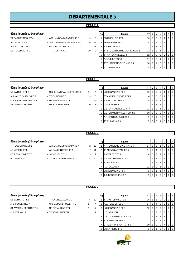## **POULE A**

#### **6ème journée** *(2ème phase)* **Rg Equipe PT J V N D P F**

- -
- 
- 
- TT PARCAY MESLAY 4 ATT LANGEAIS-CINQ MARS 5 9 9 1 ES RIDELLOIS TT 3 16 6 5 0 1 0 0 0 A.C. AMBOISE 3 - STE CATHERINE DE FIERBOIS 1 6 12 2 EP MARIGNY RILLY 1  $\begin{bmatrix} 14 & 6 & 4 & 0 & 2 & 0 \\ 14 & 6 & 4 & 0 & 2 & 0 \\ 0 & 0 & 0 & 0 & 0 & 0 \\ 0 & 0 & 0 & 0 & 0 & 0 \\ 0 & 0 & 0 & 0 & 0 & 0 \\ 0 & 0 & 0 & 0 & 0 & 0 \\ 0 & 0 & 0 & 0 & 0 & 0 \\ 0 & 0 & 0 & 0 & 0 &$ A.S.P.T.T. TOURS 1 - EP MARIGNY RILLY 1 7 11 3 T.T. METTRAY 1 1 3 1 1 3 | 1 | 3 | 1 | 2 | 0 | 0 ES RIDELLOIS TT 3  $-$  T.T. METTRAY 1 10 8  $-$  TT STE CATHERINE DE FIERBOIS 1  $\left[ 13 \right] 6 \left[ 3 \right] 1 \left[ 2 \right] 0 \left[ 0 \right]$ 5 TT PARCAY MESLAY 4 | 12 | 6 | 2 | 2 | 0 | 0 6 A.S.P.T.T. TOURS 1 11 6 2 1 3 0 0 7 ATT LANGEAIS-CINQ MARS 5 10 6 1 2 3 0 0

8 A.C. AMBOISE 3 7 6 0

#### **POULE B**

#### **6ème** journée (2ème phase)

ST AVERTIN SPORTS TT 4 - RS ST CYR/LOIRE 5 10 8

- US LA RICHE TT 2 U.S. CHAMBRAY-LES-TOURS 3 14 4 A.S MONTLOUIS/LOIRE 2 - TT CHINONAIS 5 13 5 C.S. LA MEMBROLLE TT 4 - US RENAUDINE TT 6 2 16
	-

| Rg | Equipe                    | PT | J | v              | N        | D | Р |   |
|----|---------------------------|----|---|----------------|----------|---|---|---|
| 1  | US RENAUDINE TT 6         | 16 | 6 | 5              | $\Omega$ |   | O |   |
|    | ST AVERTIN SPORTS TT 4    | 16 | 6 | 5              | $\Omega$ |   | O |   |
| 3  | <b>RS ST CYR/LOIRE 5</b>  | 15 | 6 | 4              |          |   | O | O |
| 4  | US LA RICHE TT 2          | 13 | 6 | 3              |          | 2 | O |   |
| 5  | C.S. LA MEMBROLLE TT 4    | 11 | 6 | 2              |          | 3 | O | O |
| 6  | U.S. CHAMBRAY-LES-TOURS 3 | 10 | 6 | $\overline{2}$ | $\Omega$ | 4 | U | O |
| 7  | A.S MONTLOUIS/LOIRE 2     | 8  | 6 |                | O        | 5 | O |   |
| 8  | TT CHINONAIS 5            |    | 6 | O              |          | 5 |   |   |

#### **POULE C**

#### **6ème** journée (2ème phase)

- AS VERETZ TT 5 AS SAVONNIERES TT 1 7 11 US RENAUDINE TT 7 - ST MICHEL T.T. 1 9 9 R.C. BALLAN 3 - TT MONTS ARTANNES 5 8 10
- T.T. BOUCHARDAIS 2 ATT LANGEAIS-CINQ MARS 4 2 16
	- -

|   | Rg | Equipe                   | PТ |   | v | N | D              | Р        | F        |  |
|---|----|--------------------------|----|---|---|---|----------------|----------|----------|--|
| š |    | ATT LANGEAIS-CINQ MARS 4 | 17 | 6 | 5 |   | O              | O        | $\Omega$ |  |
|   | 2  | TT MONTS ARTANNES 5      | 14 | 6 | 4 | O | $\overline{2}$ | O        | $\Omega$ |  |
| ₹ |    | <b>AS VERETZ TT 5</b>    | 14 | 6 | 3 | 2 |                | O        | $\Omega$ |  |
|   | 4  | AS SAVONNIERES TT 1      | 12 | 6 | 3 | 0 | 3              | 0        | $\Omega$ |  |
|   | 5  | ST MICHEL T.T. 1         | 11 | 6 | 2 |   | 3              | $\Omega$ | 0        |  |
|   |    | R.C. BALLAN 3            | 11 | 6 | 2 |   | 3              | $\Omega$ | 0        |  |
|   | 7  | US RENAUDINE TT 7        | 9  | 6 | 1 |   | 4              | 0        | $\Omega$ |  |
|   | 8  | T.T. BOUCHARDAIS 2       | 8  | 6 |   | O | 5              |          | 0        |  |

### **POULE D**

| 6ème journée <i>(2ème phase)</i> |  |  |
|----------------------------------|--|--|
|                                  |  |  |

- US LA RICHE TT 3 TT CASTELVALERIE 1 5 1 A.S. FONDETTES 7 - C.S. LA MEMBROLLE T.T 3 14 ST AVERTIN SPORTS TT 6 - US RENAUDINE TT 5 11 U.S. VERNOU 2 - TT SEMBLANCEEN 2 11
	-
	-

| 6ème journée (2ème phase) |                           |             |    | Rg | Equipe                    | PT I            | JI  | V              | N I          | D                    | PF             |
|---------------------------|---------------------------|-------------|----|----|---------------------------|-----------------|-----|----------------|--------------|----------------------|----------------|
| US LA RICHE TT 3          | - TT CASTELVALERIE 1      | $5^{\circ}$ | 13 |    | <b>TT CASTELVALERIE 1</b> | 18 I            | 6 6 |                | $\mathbf{0}$ | $\mathbf{0}$         | $0$   $0$      |
| A.S. FONDETTES 7          | - C.S. LA MEMBROLLE T.T 3 | 14          | 4  |    | A.S. FONDETTES 7          | 14 I            | 6   | $\overline{4}$ | 0            | $\mathbf{2}^{\circ}$ | $0$   $0$      |
| ST AVERTIN SPORTS TT 6    | - US RENAUDINE TT 5       | 11          |    | 3  | US RENAUDINE TT 5         | 12 <sub>1</sub> | 6   | -3             | $\Omega$     | 3                    | $0$   $0$      |
| U.S. VERNOU 2             | - TT SEMBLANCEEN 2        | 11          |    |    | U.S. VERNOU 2             | 12 <sub>1</sub> | 6 3 |                | $\mathbf{0}$ | 3                    | $01$ 0         |
|                           |                           |             |    |    | 5 C.S. LA MEMBROLLE T.T 3 |                 | 6   | 2              |              | 3                    | $0$   $0$      |
|                           |                           |             |    |    | TT SEMBLANCEEN 2          |                 | 6   | $\overline{2}$ |              | 3                    | 0 <sub>0</sub> |
|                           |                           |             |    |    | 7 IST AVERTIN SPORTS TT 6 | 10 <sup>1</sup> | 6   | $^{\circ}$ 2   | $\Omega$     |                      | $0$   $0$      |
|                           |                           |             |    |    | 8 US LA RICHE TT 3        | 8               | 6   |                | $\Omega$     | 5                    | $0$   $0$      |

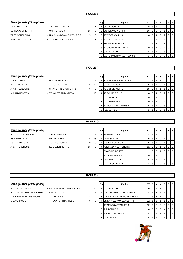# **6ème** journée (2ème phase)

- 
- US LA RICHE TT 1 A.S. FONDETTES 8 17 1
- US RENAUDINE TT 4 13 2 U.S. VERNOU 4 13 5
- TT ST GENOUPH 4 U.S. CHAMBRAY-LES-TOURS 5 15 3
- BEAUJARDIN BCT 3 TT JOUE LES TOURS 9 11 7

| Rg | Equipe                    | PT | J | v              | N        | D | Р | F |
|----|---------------------------|----|---|----------------|----------|---|---|---|
|    | US LA RICHE TT 1          | 18 | 6 | 6              | $\Omega$ | 0 | O | O |
| 2  | US RENAUDINE TT 4         | 16 | 6 | 5              | $\Omega$ |   | O | ი |
| 3  | TT ST GENOUPH 4           | 14 | 6 | 4              | $\Omega$ | 2 | 0 | ი |
| 4  | A.S. FONDETTES 8          | 12 | 6 | 3              | $\Omega$ | 3 | O | ი |
|    | <b>BEAUJARDIN BCT 3</b>   | 12 | 6 | 3              | $\Omega$ | 3 | 0 | 0 |
| 6  | TT JOUE LES TOURS 9       | 10 | 6 | $\overline{2}$ | $\Omega$ | 4 | 0 | 0 |
| 7  | U.S. VERNOU 4             | 8  | 6 | 1              | $\Omega$ | 5 | O | 0 |
| 8  | U.S. CHAMBRAY-LES-TOURS 5 | 6  | 6 | $\Omega$       | U        | 6 | ŋ |   |

### **POULE F**

### **6ème** journée (2ème phase)

- A.P. ST SENOCH 1 ST AVERTIN SPORTS TT 5 9 A.S. LUYNES T.T 4 - TT MONTS ARTANNES 4 2 16
- C.E.S. TOURS 2 U.S. GENILLE TT 2 12 A.C. AMBOISE 2 - 4S TOURS T.T. 15 6 12
	-

|   | Rg | Equipe                        | PT | J | v        | N | D              | Р        | F        |
|---|----|-------------------------------|----|---|----------|---|----------------|----------|----------|
| 6 |    | <b>ST AVERTIN SPORTS TT 5</b> | 17 | 6 | 5        | 1 | 0              | $\Omega$ | 0        |
| 2 | 2  | C.E.S. TOURS 2                | 16 | 6 | 5        | 0 | 1              | 0        | 0        |
| 9 | 3  | A.P. ST SENOCH 1              | 15 | 6 | 4        | 1 |                | 0        | 0        |
| հ | 4  | 4S TOURS T.T. 15              | 14 | 6 | 4        | 0 | $\overline{2}$ | 0        | 0        |
|   | 5  | U.S. GENILLE TT 2             | 10 | 6 | 2        | 0 | 4              | 0        | $\Omega$ |
|   |    | A.C. AMBOISE 2                | 10 | 6 | 2        | 0 | 4              | $\Omega$ | 0        |
|   | 7  | TT MONTS ARTANNES 4           | 8  | 6 |          | 0 | 5              | $\Omega$ | 0        |
|   | 8  | A.S. LUYNES T.T 4             | 6  | 6 | $\Omega$ | O | 6              | O        | $\Omega$ |

#### **POULE G**

#### **6ème** journée (2ème phase)

- A.T.T. AZAY-SUR-CHER 2 A.P. ST SENOCH 2 18 F AS VERETZ TT 4 - P.L. PAUL BERT 3 5 13 ES RIDELLOIS TT 2 - ASTT SORIGNY 1 10 8 A.S.T.T. ESVRES 2 - ES OESIENNE TT 5 13 5
- -

|    | Rg | Equipe                   | PT |   | v              | N | D        | Р        | F        |
|----|----|--------------------------|----|---|----------------|---|----------|----------|----------|
| E. |    | <b>ES RIDELLOIS TT 2</b> | 18 | 6 | 6              | 0 | $\Omega$ | $\Omega$ | $\Omega$ |
|    | 2  | <b>ASTT SORIGNY 1</b>    | 16 | 6 | 5              | 0 |          | 0        | $\Omega$ |
| š  |    | A.S.T.T. ESVRES 2        | 16 | 6 | 5              | O |          | 0        | $\Omega$ |
| 5  | 4  | A.T.T. AZAY-SUR-CHER 2   | 11 | 6 | $\overline{2}$ |   | 3        | $\Omega$ | $\Omega$ |
|    |    | <b>ES OESIENNE TT 5</b>  | 11 | 6 | 2              |   | 3        | $\Omega$ | 0        |
|    | 6  | P.L. PAUL BERT 3         | 10 | 6 | 2              | 0 | 4        | $\Omega$ | $\Omega$ |
|    |    | AS VERETZ TT 4           | 8  | 6 |                | 0 | 5        | 0        | $\Omega$ |
|    | 8  | A.P. ST SENOCH 2         | 5  | 6 |                | O | 5        | 0        |          |

#### **POULE H**

#### $6$ ème journée (2ème phase)

- RS ST CYR/LOIRE 4 ES LA VILLE AUX DAMES TT 5 3 1:
- A.T.T.ST ANTOINE DU ROCHER 1 LARCAY T.T. 2 13 U.S. CHAMBRAY-LES-TOURS 4 - T.T. BENAIS 3 14 U.S. VERNOU 3 **FRAMELIA VILLE AUST AUX DAMES 12** 9

|   | Rg | Equipe                           | PT | J | ν              | N        | D | Р        | F        |
|---|----|----------------------------------|----|---|----------------|----------|---|----------|----------|
| 5 |    | U.S. VERNOU 3                    | 16 | 6 | 4              | 2        | 0 | 0        | 0        |
| 5 | 2  | <b>U.S. CHAMBRAY-LES-TOURS 4</b> | 14 | 6 | 3              | 2        |   | 0        | 0        |
| 4 | 3  | A.T.T.ST ANTOINE DU ROCHER 1     | 13 | 6 | 3              | 1        | 2 | $\Omega$ | $\Omega$ |
| 9 | 4  | ES LA VILLE AUX DAMES TT 5       | 12 | 6 | 3              | 1        |   | $\Omega$ | 1        |
|   |    | TT MONTS ARTANNES 3              | 12 | 6 | $\overline{2}$ | 2        | 2 | $\Omega$ | $\Omega$ |
|   | 6  | T.T. BENAIS 3                    | 10 | 6 | 2              | $\Omega$ | 4 | 0        | $\Omega$ |
|   |    | <b>RS ST CYR/LOIRE 4</b>         | 9  | 6 |                | 2        | 2 | $\Omega$ | 1        |
|   | 8  | LARCAY T.T. 2                    | 8  | 6 |                |          | 5 |          | U        |

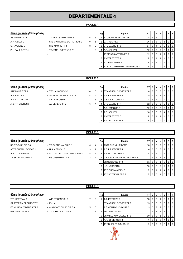## **POULE A**

### $6$ ème journée (2ème phase)

- P.L. PAUL BERT 4 TT JOUE LES TOURS 11 4 9
- AS VERETZ TT 6  $\overline{5}$  TT MONTS ARTANNES 6  $\overline{5}$  5  $\overline{5}$ A.P. ABILLY 3 - STE CATHERINE DE FIERBOIS 2 9 1
- C.P. VEIGNE 3 **8 2 3 ASSEMADE TO 3 ASSEMBLE 3** 3 ASSEMBLE 2
	-

|                               |   |                | Rg | Equipe                         | PT.             | JI | $\mathsf{v}$ | N        | D I      | PIF      |                  |
|-------------------------------|---|----------------|----|--------------------------------|-----------------|----|--------------|----------|----------|----------|------------------|
| - TT MONTS ARTANNES 6         | 5 | 5              |    | TT JOUE LES TOURS 11           | 18              | 6  | 6            | $\Omega$ | $\Omega$ | $\Omega$ | $\overline{1}$ 0 |
| - STE CATHERINE DE FIERBOIS 2 | 9 | 1              |    | C.P. VEIGNE 3                  | 16              | 6  | 5            | 0        |          | $\Omega$ | $\overline{0}$   |
| - STE MAURE TT 3              | 8 | $\overline{2}$ | 3  | <b>ISTE MAURE TT 3</b>         | 14              | 6  | 4            | 0        | 2        | $\Omega$ | <b>0</b>         |
| - TT JOUE LES TOURS 11        |   | 9              |    | A.P. ABILLY 3                  | 12              | 6  | 3            | $\Omega$ | 3        | $\Omega$ | $\overline{0}$   |
| ٠                             |   |                |    | TT MONTS ARTANNES 6            | 12 <sup>2</sup> | 6  | 3            |          |          | $\Omega$ | ' 1              |
|                               |   |                | 6  | AS VERETZ TT 6                 | 9               | 6  |              |          | 4        | $\Omega$ | $\overline{0}$   |
|                               |   |                |    | P.L. PAUL BERT 4               | 8               | 6  |              | $\Omega$ | 5        | $\Omega$ | $\overline{0}$   |
|                               |   |                | 8  | TT STE CATHERINE DE FIERBOIS 2 | 6               | 6  | $\Omega$     |          | 6        |          | $\overline{0}$   |
|                               |   |                |    |                                |                 |    |              |          |          |          |                  |

#### **POULE B**

### 6ème journée (2ème phase)

STE MAURE TT 4 - TTC du LOCHOIS 3 10 0 A.P. ABILLY 2 **- ST AVERTIN SPORTS TT 8** 4 6 A.S.P.T.T. TOURS 2 - A.C. AMBOISE 6 7 3 A.S.T.T. ESVRES 3 - AS VERETZ TT 7 6 4

| Rg | Equipe                 | PТ | J | v              | N | D | Р        | F        |
|----|------------------------|----|---|----------------|---|---|----------|----------|
| 1  | ST AVERTIN SPORTS TT 8 | 18 | 6 | 6              | 0 | O | 0        | $\Omega$ |
| 2  | A.S.T.T. ESVRES 3      | 15 | 6 | 4              | 1 |   | 0        | $\Omega$ |
| 3  | A.S.P.T.T. TOURS 2     | 14 | 6 | 4              | 0 | 2 | 0        | 0        |
| 4  | STE MAURE TT 4         | 12 | 6 | 2              | 2 | 2 | $\Omega$ | 0        |
|    | A.C. AMBOISE 6         | 12 | 6 | 2              | 2 | 2 | $\Omega$ | $\Omega$ |
| 6  | A.P. ABILLY 2          | 10 | 6 | $\overline{2}$ | 0 | 4 | 0        | $\Omega$ |
| 7  | AS VERETZ TT 7         | 9  | 6 |                |   | 4 | $\Omega$ | $\Omega$ |
| 8  | TTC du LOCHOIS 3       | 4  | 6 | ŋ              | O | 4 | ŋ        | 2        |

#### **POULE C**

### $6$ ème journée (2ème phase)

- RS ST CYR/LOIRE 6 TT CASTELVALERIE 2 6 4 TT SEMBLANCEEN 3 - ES OESIENNE TT 6 3 7
- ASTT CHEMILLE/DEME 1 U.S. VERNOU 5 9 1
- A.S.T.T. ESVRES 4 A.T.T.ST ANTOINE DU ROCHER 3 8 2
	-

| Rg             | Equipe                       | PТ |   | v              | N        | D | Р | F        |
|----------------|------------------------------|----|---|----------------|----------|---|---|----------|
| 1              | <b>ASTT CHEMILLE/DEME 1</b>  | 18 | 6 | 6              | 0        | 0 | 0 | 0        |
| $\mathfrak{p}$ | A.S.T.T. ESVRES 4            | 16 | 6 | 5              | 0        | 1 | 0 | 0        |
| 3              | <b>RS ST CYR/LOIRE 6</b>     | 14 | 6 | 4              | 0        | 2 | 0 | 0        |
| 4              | A T T ST ANTOINE DU ROCHER 3 | 11 | 6 | $\overline{2}$ | 1        | 3 | 0 | $\Omega$ |
|                | ES OESIENNE TT 6             | 11 | 6 | 2              | 1        | 3 | 0 | $\Omega$ |
| 6              | U.S. VERNOU 5                | 10 | 6 | $\overline{2}$ | $\Omega$ | 4 | 0 | $\Omega$ |
| 7              | TT SEMBLANCEEN 3             | 9  | 6 |                |          | 4 | 0 | $\Omega$ |
| 8              | TT CASTELVALERIE 2           |    | 6 | O              |          | 5 | 0 | O        |

#### **POULE D**

| 6ème journée (2ème phase) |  |
|---------------------------|--|
|                           |  |

- T.T. METTRAY 3  **A.P. ST SENOCH 3** 7 ST AVERTIN SPORTS TT 7 - Exempt ES VILLE AUX DAMES TT 6 - A.S MONTLOUIS/LOIRE 3 5 PPC MARTINOIS 2 - TT JOUE LES TOURS 12 7
	-
	-
	-

| <u>6ème  journée</u> (2è <i>me phase)</i> |                         |        | Rg | Equipe                            | PT.             |   |                 | $\blacksquare$ lv $\blacksquare$ | D I | PIF |                 |
|-------------------------------------------|-------------------------|--------|----|-----------------------------------|-----------------|---|-----------------|----------------------------------|-----|-----|-----------------|
| T.T. METTRAY 3                            | - A.P. ST SENOCH 3      | 3      |    | T.T. METTRAY 3                    | 13              | 6 | -3              |                                  |     |     | $\overline{1}0$ |
| ST AVERTIN SPORTS TT 7                    | - Exempt                |        |    | <b>ST AVERTIN SPORTS TT 7</b>     | 13 <sup>1</sup> | 5 | $\vert 3 \vert$ | 2                                |     |     | $\overline{0}$  |
| ES VILLE AUX DAMES TT 6                   | - A.S MONTLOUIS/LOIRE 3 | 5<br>5 |    | A.S MONTLOUIS/LOIRE 3             | 13              | 5 | $\mathbf{3}$    | $\overline{2}$                   |     |     | $\overline{0}$  |
| PPC MARTINOIS 2                           | - TT JOUE LES TOURS 12  | 3      |    | 4 <b>IPPC MARTINOIS 2</b>         |                 |   | $5 \mid 2 \mid$ | 2                                |     |     | $\overline{0}$  |
|                                           |                         |        |    | 5 <b>IES VILLE AUX DAMES TT 6</b> | 10              | 5 | $^{\circ}$ 2    |                                  |     |     | $\overline{0}$  |
|                                           |                         |        |    | 6 A.P. ST SENOCH 3                |                 | 5 |                 | $\Omega$                         | 4.  |     | $\overline{0}$  |
|                                           |                         |        |    | TT JOUE LES TOURS 12              | 5               |   | 50              |                                  | -5  |     | $\overline{0}$  |

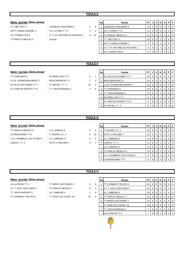# **6ème** journée (2ème phase)

- T.T. METTRAY 2  **LANGEAIS-CINQ MARS 6** 2 8 ASTT CHEMILLE/DEME 2 - A.S. LUYNES T.T 5 4 6 A.S. FONDETTES 9 - A.T.T.ST ANTOINE DU ROCHER 2 0 10 TT PARCAY MESLAY 5 - Exempt
	-
	- -
	-

| Rg | Equipe                       | PТ |   | ٧              | N        | D | Р |  |
|----|------------------------------|----|---|----------------|----------|---|---|--|
|    | LANGEAIS-CINQ MARS 6         | 15 | 5 | 5              | O        | O |   |  |
| 2  | A.S. LUYNES T.T 5            | 13 | 5 | 4              | $\Omega$ |   | ŋ |  |
| 3  | <b>TT PARCAY MESLAY 5</b>    | 11 | 5 | 3              | 0        | 2 | O |  |
| 4  | T.T. METTRAY 2               | 10 | 5 | $\overline{2}$ |          | 2 | O |  |
| 5  | ASTT CHEMILLE/DEME 2         | 9  | 6 |                |          |   |   |  |
| 6  | A.T.T.ST ANTOINE DU ROCHER 2 | 8  | 5 |                |          | 3 |   |  |
|    | A.S. FONDETTES 9             | 6  | 5 | ∩              |          |   |   |  |

## **POULE F**

### **6ème** journée (2ème phase)

- U.S.E. AVOINE-BEAUMONT 2 BEAUJARDIN BCT 4 7 ES VILLE AUX DAMES TT 7 - ST MICHEL T.T. 2 10 ST AVERTIN SPORTS TT 9 - T.T. BOUCHARDAIS 4 4
- TT CHINONAIS 6 **ES RIDELLOIS TT 4** 9

|          | Rg | Equipe                   | PТ | J | v              | N        | D | Р        | F |
|----------|----|--------------------------|----|---|----------------|----------|---|----------|---|
| 1        |    | ES VILLE AUX DAMES TT 7  | 18 | 6 | 6              | 0        | 0 | O        | O |
| 3        | 2  | <b>BEAUJARDIN BCT 4</b>  | 14 | 6 | 4              | $\Omega$ | 2 | 0        | 0 |
| $\Omega$ |    | U.S.E. AVOINE-BEAUMONT 2 | 14 | 6 | 4              | $\Omega$ | 2 | 0        | O |
| 6        | 4  | TT CHINONAIS 6           | 13 | 6 | 3              | 1        | 2 | $\Omega$ | O |
|          | 5  | T.T. BOUCHARDAIS 4       | 11 | 6 | $\overline{2}$ | 1        | 3 | $\Omega$ | O |
|          | 6  | <b>ES RIDELLOIS TT 4</b> | 9  | 6 | 1              | 1        | 4 | $\Omega$ | 0 |
|          |    | ST AVERTIN SPORTS TT 9   | 9  | 6 | 1              | 1        | 4 | 0        | O |
|          | 8  | ST MICHEL T.T. 2         | 8  | 6 |                | 0        | 5 |          |   |

# **POULE G**

#### $6$ ème journée (2ème phase)

- TT PARCAY MESLAY 6 U.S. VERNOU 6 5 US RENAUDINE TT 8 - TT BLERE V.C. 3 0 10 U.S. CHAMBRAY-LES-TOURS 6 - A.C. AMBOISE 5 4 LARCAY T.T. 4 - RS ST CYR/LOIRE 7 3 7 4 LARCAY T.T. 4 11 6 2 1 3 0 0
- -

|   | Rg | Equipe                    | PT | J | ٧ | N        | D              | Р | F        |
|---|----|---------------------------|----|---|---|----------|----------------|---|----------|
| 5 |    | TT BLERE V.C. 3           | 18 | 6 | 6 | $\Omega$ | O              | O | 0        |
| 0 | 2  | <b>RS ST CYR/LOIRE 7</b>  | 16 | 6 | 5 | $\Omega$ |                | 0 | 0        |
| 6 | 3  | A.C. AMBOISE 5            | 13 | 6 | 3 |          | 2              | 0 | $\Omega$ |
| 7 | 4  | LARCAY T.T. 4             | 11 | 6 | 2 |          | 3              | 0 | $\Omega$ |
|   | -  | U.S. VERNOU 6             | 11 | 6 | 1 | 3        | $\overline{2}$ | 0 | $\Omega$ |
|   | 6  | TT PARCAY MESLAY 6        | 10 | 6 | 1 | 2        | 3              | 0 | $\Omega$ |
|   | 7  | U.S. CHAMBRAY-LES-TOURS 6 | 9  | 6 | 1 |          | 4              | 0 | $\Omega$ |
|   | 8  | US RENAUDINE TT 8         | 8  | 6 |   | ი        | 5              | n | O        |

## **POULE H**

## $6$ ème journée (2ème phase)

- US LA RICHE TT 4 TT MONTS ARTANNES 7 1 A.T.T. AZAY-SUR-CHER 4 - TT PARCAY MESLAY 7 6 T.T. BOUCHARDAIS 3 - A.C. AMBOISE 4 16 16 16 17 17 - A.C. AMBOISE 4 TT CORMERY-TRUYES 3 - TT JOUE LES TOURS 10 10
	-
	-
	-
	-

|          | Rg | Equipe                       | РT | J | v        | N | D | Р | F |
|----------|----|------------------------------|----|---|----------|---|---|---|---|
| 9        |    | TT CORMERY-TRUYES 3          | 18 | 6 | 6        | 0 | 0 | O |   |
| 4        | 2  | A.T.T. AZAY-SUR-CHER 4       | 16 | 6 | 5        | 0 |   |   |   |
| 9        |    | A.C. AMBOISE 4               | 16 | 6 | 5        | 0 |   | O |   |
| $\Omega$ | 4  | TT PARCAY MESLAY 7           | 12 | 6 | 3        | 0 | 3 | 0 | O |
|          | 5  | TT MONTS ARTANNES 7          | 10 | 6 | 2        | 0 | 4 | 0 | O |
|          | ۰  | <b>ITT JOUE LES TOURS 10</b> | 10 | 6 | 2        | 0 | 4 | 0 | 0 |
|          | 7  | T.T. BOUCHARDAIS 3           | 7  | 6 | $\Omega$ | 1 | 5 | 0 | ი |
|          |    | US LA RICHE TT 4             |    | 6 | 0        |   | 5 |   |   |

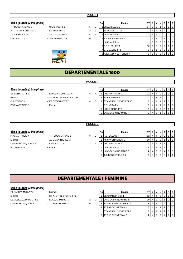## $6$ ème journée (2ème phase)

T.T BOUCHARDAIS 5 - C.E.S. TOURS 3 5 A.T.T. AZAY-SUR-CHER 3 - ES AMBILLOU 1 2 4S TOURS T.T. 16 **ASTT SORIGNY 2** 6 LARCAY T.T. 3 **EXECUTE:** STE MAURE TT 5 10



|          | Rg | Equipe                   | PT |   | ν | N        | D              | Р        | F        |
|----------|----|--------------------------|----|---|---|----------|----------------|----------|----------|
| $\Omega$ | 1  | <b>ES AMBILLOU 1</b>     | 17 | 6 | 5 |          | 0              | 0        | $\Omega$ |
| 8        |    | 4S TOURS T.T. 16         | 17 | 6 | 5 |          | 0              | 0        | $\Omega$ |
| 4        |    | 3 ASTT SORIGNY 2         | 14 | 6 | 4 | 0        | 2              | 0        | $\Omega$ |
| $\Omega$ | 41 | <b>T.T BOUCHARDAIS 5</b> | 12 | 6 | 3 | 0        | 3              | 0        | $\Omega$ |
|          |    | LARCAY T.T. 3            | 12 | 6 | 3 | $\Omega$ | 3              | 0        | $\Omega$ |
|          | 6  | C.E.S. TOURS 3           | 10 | 6 | 2 | 0        | $\overline{4}$ | 0        | $\Omega$ |
|          | 7  | <b>STE MAURE TT 5</b>    | 8  | 6 | 1 | $\Omega$ | 5              | 0        | $\Omega$ |
|          |    | 8 A.T.T. AZAY-SUR-CHER 3 | 6  | 6 | 0 | $\Omega$ | 6              | $\Omega$ | $\Omega$ |
|          |    |                          |    |   |   |          |                |          |          |

# **DEPARTEMENTALE 1600**

**POULE A**

#### 6ème journée *(2ème phase)*

C.P. VEIGNE 4 **ES OESIENNE TT 7** 4 6 PPC MARTINOIS 3 - Exempt

- US LA RICHE TT 5 LANGEAIS-CINQ MARS 7 6 4
- Exempt ST AVERTIN SPORTS TT 10
	-
	-

| Rg | Equipe                         | PТ |   |   | N | D | Р | F |
|----|--------------------------------|----|---|---|---|---|---|---|
|    | <b>PPC MARTINOIS 3</b>         | 12 | 4 | 4 | 0 | 0 | 0 | 0 |
| 2  | <b>ES OESIENNE TT 7</b>        | 11 | 4 | 3 |   | O | 0 | 0 |
| 3  | <b>ST AVERTIN SPORTS TT 10</b> |    | 4 |   |   | 2 | 0 | 0 |
|    | C.P. VEIGNE 4                  | 7  | 4 |   |   | 2 | 0 | 0 |
| 5  | US LA RICHE TT 5               | 6  | 4 |   | 0 | 3 | 0 | 0 |
| 6  | LANGEAIS-CINQ MARS 7           | 5  |   |   |   | 3 |   | U |

### **POULE B**

#### **6ème** journée (2ème phase)

- 
- 
- -

| 6ème_journée (2ème phase) |                      |   |   | Rg | Equipe                    | PTIJ |                    | V I            | N | D | PF |                |
|---------------------------|----------------------|---|---|----|---------------------------|------|--------------------|----------------|---|---|----|----------------|
| PPC MARTINOIS 4           | - T.T. BOUCHARDAIS 6 | 8 | ◠ |    | R.C. BALLAN 4             | 12 I | 4 I                | $\overline{a}$ |   |   |    | $\overline{0}$ |
| Exempt                    | - AS SAVONNIERES 2   |   |   |    | <b>AS SAVONNIERES 2</b>   |      | $10 \mid 4 \mid 3$ |                |   |   |    | $\overline{0}$ |
| LANGEAIS-CINQ MARS 8      | - LARCAY T.T. 5      | 3 |   |    | <b>PPC MARTINOIS 4</b>    |      |                    |                |   |   |    | $\overline{0}$ |
| R.C. BALLAN 4             | - Exempt             |   |   |    | LARCAY T.T. 5             |      | $\overline{4}$     |                |   |   |    | $\Omega$       |
|                           |                      |   |   |    | 5 LANGEAIS-CINQ MARS 8    |      | 410                |                |   | 4 |    | $\overline{0}$ |
|                           |                      |   |   |    | <b>T.T. BOUCHARDAIS 6</b> |      | -41                |                |   | 3 |    |                |

# **DEPARTEMENTALE 1 FEMININE**

### **6ème journée** *(2ème phase)*

TT PARCAY MESLAY 1 - Exempt Exempt - ST AVERTIN SPORTS TT 2 ES VILLE AUX DAMES TT 1 - BEAUJARDIN BCT 1 2 LANGEAIS-CINQ MARS 1 - TT PARCAY MESLAY 2 3 2 3 10

- -
	- -

|          | Rg | Equipe                    | РT |   |   | N |   | Р |  |
|----------|----|---------------------------|----|---|---|---|---|---|--|
|          |    | <b>BEAUJARDIN BCT 1</b>   | 12 | 4 | 4 | 0 | Ω |   |  |
| 8        | 2  | LANGEAIS-CINQ MARS 1      | 10 | 4 | 3 | 0 |   |   |  |
| $\Omega$ | 3  | ES VILLE AUX DAMES TT 1   | 8  | 4 | 2 | 0 | 2 |   |  |
|          | 4  | <b>TT PARCAY MESLAY 1</b> | 7  | 4 |   |   | າ |   |  |
|          |    | ST AVERTIN SPORTS TT 2    |    | 4 |   |   |   |   |  |
|          | 6  | TT PARCAY MESLAY 2        | 4  | 4 |   |   |   |   |  |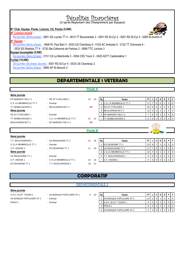# Pénalités financières

(d'après Règlement des Championnats par Equipes)

#### **N° Club, Equipe, Poule, Licence, Clt, Points (5,00€)**

#### *N° Licence erroné :*

6è journée (2ème phase) : 0681 AS Luynes TT 4 - 0615 TT Bouchardais 3 - 0001 RS St-Cyr 2 - 0001 RS St-Cyr 4 - 0269 St-Avertin 8 *N° Equipe :* 

6è journée (2ème phase) : 0608 PL Paul Bert 3 - 0033 US Chambray 6 - 0102 AC Amboise 5 - 0132 TT Chinonais 6 -

0533 ES Ridellois TT 4 - 0730 Ste-Catherine de Fierbois 2 - 0698 TTC Lochois 3

## **Equipe Incomplète (5,00€)**

6è journée (2ème phase) : 0151 CS La Membrolle 3 - 0004 CES Tours 3 - 0425 ASTT Castelvalérie 1

### **Forfait (10,00€)**

2è journée (3è phase Jeunes) : 0001 RS St-Cyr 4 - 0033 US Chambray 2

6è journée (2ème phase) : 0690 AP St-Senoch 2

# **DEPARTEMENTALE 1 VETERANS**

## **8ème journée** EP MARIGNY RILLY 1 - RS ST CYR/LOIRE 1 15 15 **Rg** PT **PT J V N** D C.S. LA MEMBROLLE TT 2 - Exempt C.S. LA MEMBROLLE TT 2 17 7 5 0 2 0 0 0 TT SEMBLANCEEN 1 - BEAUJARDIN BCT 1 **NP** 2 RS ST CYR/LOIRE 1 16 6 4 2 0 0 0 0 **9ème journée** 3 **BEAUJARDIN BCT 1** 12 5 3 1 1 0 0 0 RS ST CYR/LOIRE 1 - Exempt 4 EP MARIGNY RILLY 1 7 6 0 1 5 0 TT SEMBLANCEEN 1  $-C.S.$  LA MEMBROLLE TT 2  $12 \t 13 \t -1$  TT SEMBLANCEEN 1 8 BEAUJARDIN BCT 1 - EP MARIGNY RILLY 1 **8ème journée** T.T. BOUCHARDAIS 1 - US RENAUDINE TT 1 12 18 **Rg PT ACCILE 12 18 FRS Equipe** PT **PT J V N | D | P** | F C.S LA MEMBROLLE TT 1 - Exempt 1 - Exempt 1 ES OESIENNE TT 1 23 8 7 1 0 0 0 0 C.P. VEIGNE 1 - ES OESIENNE TT 1 11 19 2 US RENAUDINE TT 1 17 7 5 0 2 0 0 0 **9ème journée** 3 C.S LA MEMBROLLE TT 1 16 7 4 1 2 0 0 US RENAUDINE TT 1 - Exempt Containing the Latter of Latter and Latter and Latter and Latter and Latter and Latter and Latter and Latter and Latter and Latter and Latter and Latter and Latter and Latter and Latter and Latte C.P. VEIGNE 1 - C.S.LA MEMBROLLE TT 1 14 16 - C.P. VEIGNE 1 6 6 0 0 6 6 0 0 6 ES OESIENNE TT 1 - T.T. BOUCHARDAIS 1 18 12 **NP NP Poule A Poule B**

# **CORPORATIF**

# **DEPARTEMENTALE 1**

#### **8ème journée**

- 
- 

| A.S.C. B.N.P. TOURS 1    | - AS BANQUE POPULAIRE VF 1 | 10 | Rg | Equipe                          | DТ |      |  | D | PIF |                |
|--------------------------|----------------------------|----|----|---------------------------------|----|------|--|---|-----|----------------|
| AS BANQUE POPULAIRE VF 2 | - Exempt                   |    |    | <b>AS BANQUE POPULAIRE VF 1</b> |    |      |  |   |     |                |
| PRAXI 1                  | - Exempt                   |    |    | 2 A.S.C. B.N.P. TOURS 1         |    |      |  |   |     | $\overline{0}$ |
|                          |                            |    |    | 3 PRAXI1                        |    |      |  |   |     | $\overline{0}$ |
|                          |                            |    |    | 4 AS BANQUE POPULAIRE VF 2      |    | 14 I |  |   |     | $J$ 0          |

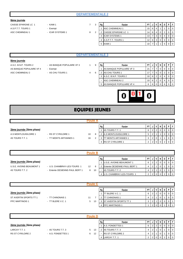#### **8ème journée**

CAISSE EPARGNE LC 1 - KAMI 1 7 3 **Rg Equipe PT J V N D P F** A.S.P.T.T. TOURS 1 - Exempt ASC CHEMINEAU 1 - ICAR SYSTEMS 1 8

- -

| 3 | Rg             | Equipe                 | РT |   | ν | N | D | P | F        |
|---|----------------|------------------------|----|---|---|---|---|---|----------|
|   |                | <b>ASC CHEMINEAU 1</b> | 15 | 6 | 4 |   |   | 0 | $\Omega$ |
| 2 | 2              | CAISSE EPARGNE LC 1    | 14 | 6 | 4 | 0 | 2 | 0 | $\Omega$ |
|   | 3              | <b>ICAR SYSTEMS 1</b>  | 13 |   | 3 | 0 | 4 | 0 | $\Omega$ |
|   | $\overline{4}$ | A.S.P.T.T. TOURS 1     | 12 | 6 | 3 | 0 | 3 | 0 | $\Omega$ |
|   | 5              | KAMI <sub>1</sub>      | 10 |   |   |   | 5 | 0 | $\Omega$ |

#### **DEPARTEMENTALE 3**

#### **8ème journée**

A.S.C. B.N.P. TOURS 2 - AS BANQUE POPULAIRE VF 3 1 9 AS BANQUE POPULAIRE VF 4 - Exempt ASC CHEMINEAU 2 - AS CHU TOURS 1 4 6

- -

| Rg | Equipe                         | PТ |   |   | N | D | D |  |
|----|--------------------------------|----|---|---|---|---|---|--|
|    | <b>AS BANQUE POPULAIRE VF3</b> | 21 |   |   |   |   |   |  |
| 2  | <b>AS CHU TOURS 1</b>          | 17 |   |   |   | າ |   |  |
| 3  | A.S.C. B.N.P. TOURS 2          | 10 | 6 | າ |   |   |   |  |
| -  | ASC CHEMINEAU 2                | 10 | 6 | າ |   |   |   |  |
| 5  | AS BANQUE POPULAIRE VF 4       | 6  | 6 |   |   | հ |   |  |



# **EQUIPES JEUNES**

### **Poule A**

### 2ème journée (3ème phase)

4S TOURS T.T. 1 <sup>-</sup> TT MONTS ARTANNES 1 3 16

A.S MONTLOUIS/LOIRE 1 - RS ST CYR/LOIRE 1 30

|               | Rg | Equipe                | РT | u |   | Ν | D | D |  |  |  |  |
|---------------|----|-----------------------|----|---|---|---|---|---|--|--|--|--|
|               |    | 4S TOURS T.T. 1       | 6  | 2 | າ | 0 | 0 |   |  |  |  |  |
| 8             | 2  | A.S MONTLOUIS/LOIRE 1 | 5  | 2 |   |   | 0 |   |  |  |  |  |
| $\mathcal{P}$ | 3  | TT MONTS ARTANNES 1   | 3  | 2 | 0 |   |   |   |  |  |  |  |
|               | 4  | RS ST CYR/LOIRE 1     | っ  | c |   | 0 | ◠ |   |  |  |  |  |
|               |    |                       |    |   |   |   |   |   |  |  |  |  |

|                           |                                | <b>Poule B</b> |    |    |                              |      |   |   |   |   |                |
|---------------------------|--------------------------------|----------------|----|----|------------------------------|------|---|---|---|---|----------------|
|                           |                                |                |    | Rg | Equipe                       | PTIJ |   | V | N | D | PIFI           |
| 2ème journée (3ème phase) |                                |                |    |    | U.S.E. AVOINE-BEAUMONT 1     | 6    |   |   |   |   | $\overline{0}$ |
| U.S.E. AVOINE-BEAUMONT 1  | - U.S. CHAMBRAY-LES-TOURS 1    | 12             | 6  |    | Entente OESIENNE-PAUL BERT 1 |      | 2 |   |   |   | $\overline{0}$ |
| 4S TOURS T.T. 2           | - Entente OESIENNE-PAUL BERT 1 | 8              | 10 |    | 4S TOURS T.T. 2              |      |   |   |   |   |                |
|                           |                                |                |    |    | U.S. CHAMBRAY-LES-TOURS 1    |      |   |   |   |   | $\overline{0}$ |

|                           |                   |    |    | Rg | Equipe                         | <b>PT</b>      |  |  |  |  | <b>D</b> I | -F             |  |  |  |
|---------------------------|-------------------|----|----|----|--------------------------------|----------------|--|--|--|--|------------|----------------|--|--|--|
| 2ème journée (3ème phase) |                   |    |    |    | <b>ITT BLERE V.C. 1</b>        | 6              |  |  |  |  |            | $\overline{0}$ |  |  |  |
| ST AVERTIN SPORTS TT 1    | - TT CHINONAIS 1  | 11 |    |    | <b><i>CHINONAIS 1</i></b>      |                |  |  |  |  |            | $\overline{0}$ |  |  |  |
| <b>PPC MARTINOIS 1</b>    | - TT BLERE V.C. 1 | 5  | 13 |    | <b>IST AVERTIN SPORTS TT 1</b> | 3 <sub>1</sub> |  |  |  |  |            |                |  |  |  |
|                           |                   |    |    | 4  | <b>PPC MARTINOIS 1</b>         |                |  |  |  |  |            |                |  |  |  |

|                           | <b>Poule D</b>     |         |    |                          |      |                  |   |   |   |  |                                                     |  |  |  |
|---------------------------|--------------------|---------|----|--------------------------|------|------------------|---|---|---|--|-----------------------------------------------------|--|--|--|
|                           |                    |         | Rg | Equipe                   | PTIJ |                  | v | N | D |  | PF                                                  |  |  |  |
| 2ème journée (3ème phase) |                    |         |    | A.S. FONDETTES 1         | 6    |                  |   |   |   |  | $\overline{\phantom{0}}$ 0 $\overline{\phantom{0}}$ |  |  |  |
| LARCAY T.T. 1             | - 4S TOURS T.T. 3  | 5<br>13 |    | 4S TOURS T.T. 3          | 4    |                  |   | 0 |   |  | $\circ$ 1                                           |  |  |  |
| <b>RS ST CYR/LOIRE 2</b>  | - A.S. FONDETTES 1 | 6<br>12 |    | <b>RS ST CYR/LOIRE 2</b> |      |                  |   |   |   |  | $\overline{0}$                                      |  |  |  |
|                           |                    |         | 4  | LARCAY T.T. 1            |      | $\overline{2}$ . |   |   |   |  | $\overline{1}$ 0                                    |  |  |  |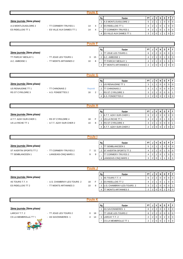|                                                                         |                                                      | <b>Poule E</b>                               |                                                                                                                                                                      |                                                                                                                                                                                                                                                                                                                                                                                                                                                    |
|-------------------------------------------------------------------------|------------------------------------------------------|----------------------------------------------|----------------------------------------------------------------------------------------------------------------------------------------------------------------------|----------------------------------------------------------------------------------------------------------------------------------------------------------------------------------------------------------------------------------------------------------------------------------------------------------------------------------------------------------------------------------------------------------------------------------------------------|
| 2ème journée (3ème phase)<br>A.S MONTLOUIS/LOIRE 2<br>ES RIDELLOIS TT 1 | - TT CORMERY-TRUYES 1<br>- ES VILLE AUX DAMES TT 1   | 14<br>$\overline{4}$<br>$\overline{4}$<br>14 | Equipe<br>Rg<br>A.S MONTLOUIS/LOIRE 2<br>$\mathbf{1}$<br>ES RIDELLOIS TT 1<br>2<br><b>TT CORMERY-TRUYES 1</b><br>ES VILLE AUX DAMES TT 1<br>4                        | PT<br>$\mathsf{v}$<br>P<br>F<br>J<br>N<br>D<br>5<br>$\overline{2}$<br>$\mathbf 0$<br>$\Omega$<br>$\mathbf 0$<br>$\overline{2}$<br>$\mathbf 0$<br>$\overline{4}$<br>$\mathbf 0$<br>$\mathbf 0$<br>$\mathbf 1$<br>$\overline{2}$<br>4<br>$\mathbf 0$<br>$\mathbf 0$<br>$\mathbf 0$<br>-1<br>$\mathsf 0$<br>3<br>$\overline{2}$<br>$\mathbf 0$<br>$\mathbf 0$<br>1<br>1                                                                               |
|                                                                         |                                                      | <b>Poule F</b>                               |                                                                                                                                                                      |                                                                                                                                                                                                                                                                                                                                                                                                                                                    |
| 2ème journée (3ème phase)<br>TT PARCAY MESLAY 1<br>A.C. AMBOISE 1       | - TT JOUE LES TOURS 1<br>- TT MONTS ARTANNES 2       | 15<br>3<br>8<br>10                           | Rg<br>Equipe<br><b>TT JOUE LES TOURS 1</b><br>$\mathbf{1}$<br>A.C. AMBOISE 1<br>$\overline{2}$<br>TT PARCAY MESLAY 1<br><b>TT MONTS ARTANNES 2</b><br>$\overline{4}$ | PT<br>$\mathsf{v}$<br>D<br>P<br>F<br>J<br>N<br>$\overline{2}$<br>$\overline{2}$<br>6<br>$\mathbf 0$<br>$\mathbf 0$<br>$\mathbf 0$<br>$\Omega$<br>$\overline{2}$<br>$\overline{4}$<br>$\mathbf 0$<br>$\mathbf 0$<br>$\mathbf 0$<br>$\mathbf 1$<br>$\overline{2}$<br>$\overline{4}$<br>$\mathbf 0$<br>$\mathbf 0$<br>$\mathbf 0$<br>$\overline{2}$<br>$\mathbf 0$<br>$\overline{2}$<br>$\mathbf 0$<br>$\mathbf 0$<br>$\overline{2}$<br>$\mathbf 0$   |
|                                                                         |                                                      | <b>Poule G</b>                               |                                                                                                                                                                      |                                                                                                                                                                                                                                                                                                                                                                                                                                                    |
| 2ème journée (3ème phase)<br>US RENAUDINE TT 1<br>RS ST CYR/LOIRE 3     | - TT CHINONAIS 2<br>- A.S. FONDETTES 2               | Reporté<br>2<br>16                           | Rg<br>Equipe<br>US RENAUDINE TT 1<br>$\mathbf{1}$<br><b>TT CHINONAIS 2</b><br>2<br>RS ST CYR/LOIRE 3<br>A.S. FONDETTES 2                                             | PT<br>$\mathsf{v}$<br>P<br>F<br>J<br>N<br>D<br>$\mathbf 0$<br>3<br>$\Omega$<br>$\Omega$<br>$\mathbf 0$<br>$\mathbf{1}$<br>$\overline{1}$<br>3<br>$\mathbf 0$<br>$\mathbf 0$<br>$\mathbf 0$<br>0<br>$\mathbf{1}$<br>1<br>3<br>2<br>$\mathbf 0$<br>$\mathbf 0$<br>0<br>$\mathbf{1}$<br>2<br>$\overline{2}$<br>$\mathbf 0$<br>$\mathbf 0$<br>$\mathbf 0$<br>$\overline{2}$<br>0                                                                       |
|                                                                         |                                                      | <b>Poule H</b>                               |                                                                                                                                                                      |                                                                                                                                                                                                                                                                                                                                                                                                                                                    |
| 2ème journée (3ème phase)<br>A.T.T. AZAY-SUR-CHER 1<br>US LA RICHE TT 1 | - RS ST CYR/LOIRE 4<br>- A.T.T. AZAY-SUR-CHER 2      | F<br>18<br>10<br>8                           | Rg<br>Equipe<br>A.T.T. AZAY-SUR-CHER 1<br>$\mathbf{1}$<br>US LA RICHE TT 1<br>$\overline{2}$<br><b>RS ST CYR/LOIRE 4</b><br>3<br>A.T.T. AZAY-SUR-CHER 2<br>4         | PT<br>$\mathbf v$<br>P<br>F<br>J<br>N<br>D<br>6<br>$\overline{2}$<br>$\sqrt{2}$<br>$\mathbf 0$<br>$\mathbf 0$<br>$\mathbf 0$<br>$\mathbf 0$<br>$\overline{2}$<br>$\overline{4}$<br>$\mathbf 0$<br>$\pmb{0}$<br>$\mathbf 0$<br>$\overline{1}$<br>1<br>3<br>2<br>$\mathbf 0$<br>$\mathsf 0$<br>$\mathbf 0$<br>$\overline{1}$<br>$\overline{1}$<br>$\overline{2}$<br>$\Omega$<br>$\overline{2}$<br>$\Omega$<br>$\Omega$<br>$\overline{2}$<br>$\Omega$ |
|                                                                         |                                                      | <b>Poule I</b>                               |                                                                                                                                                                      |                                                                                                                                                                                                                                                                                                                                                                                                                                                    |
| 2ème journée (3ème phase)<br>ST AVERTIN SPORTS TT 2<br>TT SEMBLANCEEN 1 | - TT CORMERY-TRUYES 2<br>- LANGEAIS-CINQ MARS 1      | $7 11$<br>9<br>9                             | Rg<br>Equipe<br>TT SEMBLANCEEN 1<br>1<br>ST AVERTIN SPORTS TT 2<br>2<br>TT CORMERY-TRUYES 2<br>LANGEAIS-CINQ MARS 1<br>4                                             | PT<br>V<br>$\, {\bf P}$<br>$\mathsf F$<br>J<br>N<br>D<br>2 <sup>2</sup><br>0<br>5<br>$\mathbf{1}$<br>1<br>0<br>0<br>$\overline{2}$<br>$\overline{4}$<br>$\mathbf 0$<br>$\mathbf 0$<br>$\mathbf 0$<br>$\mathbf{1}$<br>$\mathbf{1}$<br>$\overline{2}$<br>$\overline{0}$<br>4<br>$\mathbf 0$<br>$\mathbf 0$<br>1<br>$\overline{1}$<br>$\overline{0}$<br>$\overline{0}$<br>3<br>$\overline{2}$<br>$\mathbf 0$<br>$\mathbf{1}$                          |
|                                                                         |                                                      | <b>Poule J</b>                               |                                                                                                                                                                      |                                                                                                                                                                                                                                                                                                                                                                                                                                                    |
| 2ème journée (3ème phase)<br>4S TOURS T.T. 4<br>ES RIDELLOIS TT 2       | - U.S. CHAMBRAY-LES-TOURS 2<br>- TT MONTS ARTANNES 3 | F<br>18<br>10<br>8                           | Rg<br>Equipe<br>4S TOURS T.T. 4<br>$\mathbf{1}$<br><b>ES RIDELLOIS TT 2</b><br>2<br>U.S. CHAMBRAY-LES-TOURS 2<br>3                                                   | PT<br>$\mathsf{v}$<br>D<br>N<br>P<br>F<br>J<br>$\overline{2}$<br>6<br>$\overline{c}$<br>$\mathbf 0$<br>$\mathbf 0$<br>$\mathbf 0$<br>0<br>$\overline{2}$<br>$\mathbf 0$<br>$\overline{4}$<br>$\mathbf 0$<br>$\mathbf 0$<br>$\mathbf{1}$<br>1<br>3<br>$\overline{2}$<br>$\mathbf 0$<br>0<br>$\mathbf 0$<br>$\overline{1}$<br>$\mathbf{1}$                                                                                                           |

|                           |                       |                |    | Rq | Equipe                     | <b>PT</b> |   | v              | N              | D | P        |          |  |
|---------------------------|-----------------------|----------------|----|----|----------------------------|-----------|---|----------------|----------------|---|----------|----------|--|
| 2ème journée (3ème phase) |                       |                |    |    | AS SAVONNIERES 1           | 6         |   |                | 0              |   | $\Omega$ | IO.      |  |
| LARCAY T.T. 2             | - TT JOUE LES TOURS 2 | 0              | 18 |    | <b>TT JOUE LES TOURS 2</b> | 6         | ∠ | 2              | $\overline{0}$ |   |          | . 0      |  |
| CS LA MEMBROLLE TT 1      | - AS SAVONNIERES 1    | $\overline{4}$ | 14 | 3  | LARCAY T.T. 2              | 2         | ∠ | $\overline{0}$ | $\Omega$       |   |          | $\Omega$ |  |
|                           |                       |                |    |    | CS LA MEMBROLLE TT 1       | 2         |   | $\Omega$       |                |   |          | $\Omega$ |  |
|                           |                       |                |    |    |                            |           |   |                |                |   |          |          |  |